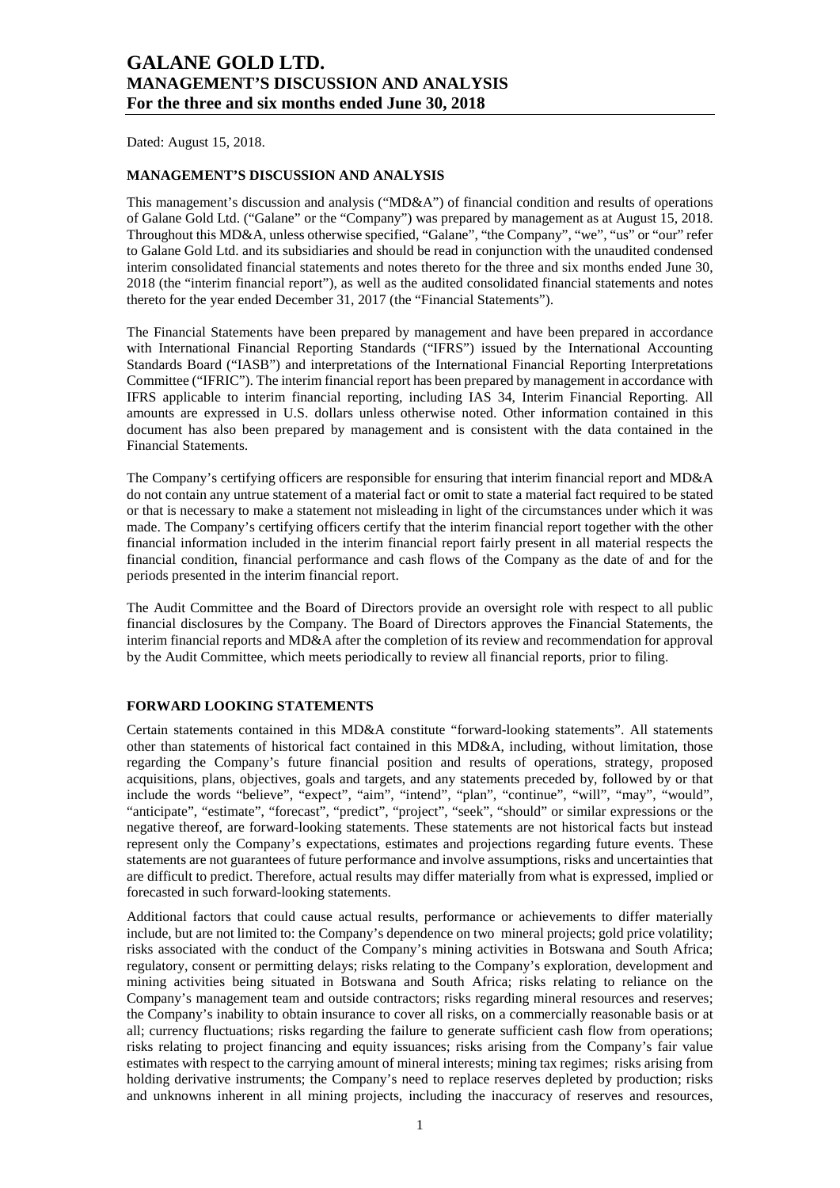Dated: August 15, 2018.

#### **MANAGEMENT'S DISCUSSION AND ANALYSIS**

This management's discussion and analysis ("MD&A") of financial condition and results of operations of Galane Gold Ltd. ("Galane" or the "Company") was prepared by management as at August 15, 2018. Throughout this MD&A, unless otherwise specified, "Galane", "the Company", "we", "us" or "our" refer to Galane Gold Ltd. and its subsidiaries and should be read in conjunction with the unaudited condensed interim consolidated financial statements and notes thereto for the three and six months ended June 30, 2018 (the "interim financial report"), as well as the audited consolidated financial statements and notes thereto for the year ended December 31, 2017 (the "Financial Statements").

The Financial Statements have been prepared by management and have been prepared in accordance with International Financial Reporting Standards ("IFRS") issued by the International Accounting Standards Board ("IASB") and interpretations of the International Financial Reporting Interpretations Committee ("IFRIC"). The interim financial report has been prepared by management in accordance with IFRS applicable to interim financial reporting, including IAS 34, Interim Financial Reporting. All amounts are expressed in U.S. dollars unless otherwise noted. Other information contained in this document has also been prepared by management and is consistent with the data contained in the Financial Statements.

The Company's certifying officers are responsible for ensuring that interim financial report and MD&A do not contain any untrue statement of a material fact or omit to state a material fact required to be stated or that is necessary to make a statement not misleading in light of the circumstances under which it was made. The Company's certifying officers certify that the interim financial report together with the other financial information included in the interim financial report fairly present in all material respects the financial condition, financial performance and cash flows of the Company as the date of and for the periods presented in the interim financial report.

The Audit Committee and the Board of Directors provide an oversight role with respect to all public financial disclosures by the Company. The Board of Directors approves the Financial Statements, the interim financial reports and MD&A after the completion of its review and recommendation for approval by the Audit Committee, which meets periodically to review all financial reports, prior to filing.

#### **FORWARD LOOKING STATEMENTS**

Certain statements contained in this MD&A constitute "forward-looking statements". All statements other than statements of historical fact contained in this MD&A, including, without limitation, those regarding the Company's future financial position and results of operations, strategy, proposed acquisitions, plans, objectives, goals and targets, and any statements preceded by, followed by or that include the words "believe", "expect", "aim", "intend", "plan", "continue", "will", "may", "would", "anticipate", "estimate", "forecast", "predict", "project", "seek", "should" or similar expressions or the negative thereof, are forward-looking statements. These statements are not historical facts but instead represent only the Company's expectations, estimates and projections regarding future events. These statements are not guarantees of future performance and involve assumptions, risks and uncertainties that are difficult to predict. Therefore, actual results may differ materially from what is expressed, implied or forecasted in such forward-looking statements.

Additional factors that could cause actual results, performance or achievements to differ materially include, but are not limited to: the Company's dependence on two mineral projects; gold price volatility; risks associated with the conduct of the Company's mining activities in Botswana and South Africa; regulatory, consent or permitting delays; risks relating to the Company's exploration, development and mining activities being situated in Botswana and South Africa; risks relating to reliance on the Company's management team and outside contractors; risks regarding mineral resources and reserves; the Company's inability to obtain insurance to cover all risks, on a commercially reasonable basis or at all; currency fluctuations; risks regarding the failure to generate sufficient cash flow from operations; risks relating to project financing and equity issuances; risks arising from the Company's fair value estimates with respect to the carrying amount of mineral interests; mining tax regimes; risks arising from holding derivative instruments; the Company's need to replace reserves depleted by production; risks and unknowns inherent in all mining projects, including the inaccuracy of reserves and resources,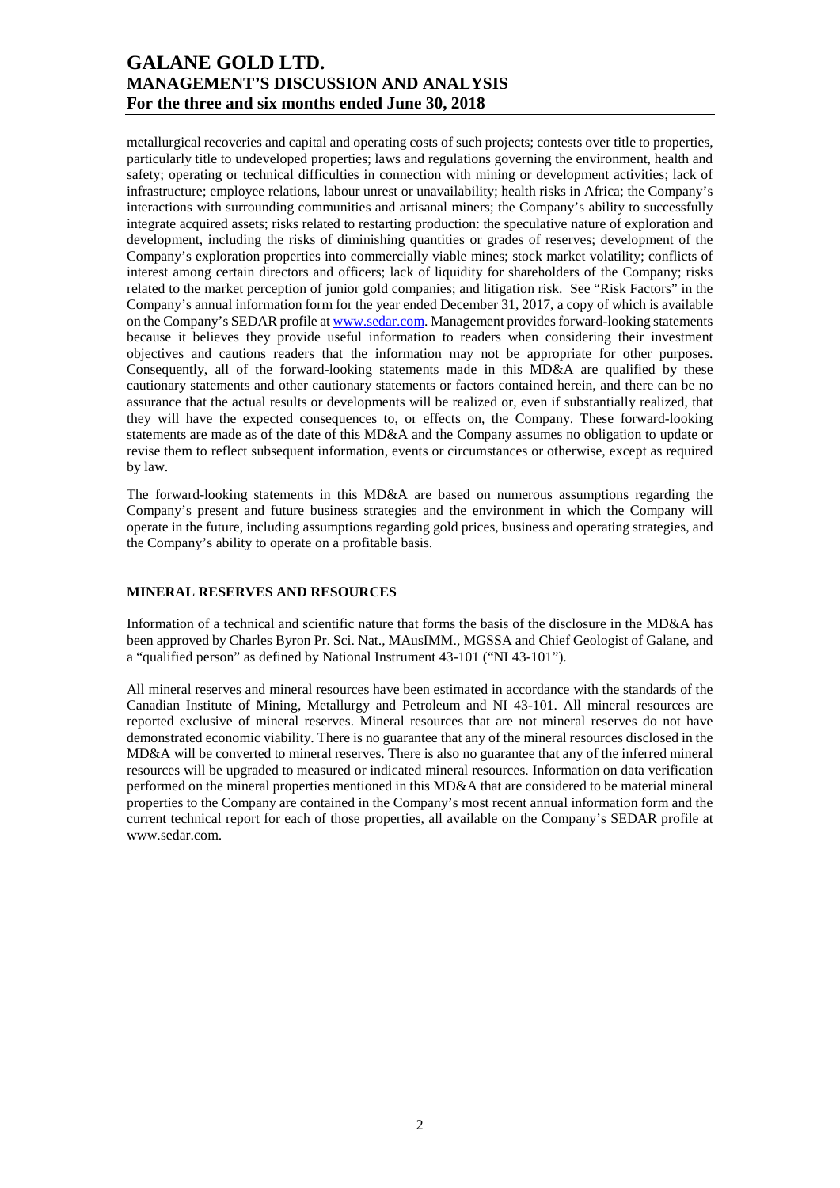metallurgical recoveries and capital and operating costs of such projects; contests over title to properties, particularly title to undeveloped properties; laws and regulations governing the environment, health and safety; operating or technical difficulties in connection with mining or development activities; lack of infrastructure; employee relations, labour unrest or unavailability; health risks in Africa; the Company's interactions with surrounding communities and artisanal miners; the Company's ability to successfully integrate acquired assets; risks related to restarting production: the speculative nature of exploration and development, including the risks of diminishing quantities or grades of reserves; development of the Company's exploration properties into commercially viable mines; stock market volatility; conflicts of interest among certain directors and officers; lack of liquidity for shareholders of the Company; risks related to the market perception of junior gold companies; and litigation risk. See "Risk Factors" in the Company's annual information form for the year ended December 31, 2017, a copy of which is available on the Company's SEDAR profile at www.sedar.com. Management provides forward-looking statements because it believes they provide useful information to readers when considering their investment objectives and cautions readers that the information may not be appropriate for other purposes. Consequently, all of the forward-looking statements made in this MD&A are qualified by these cautionary statements and other cautionary statements or factors contained herein, and there can be no assurance that the actual results or developments will be realized or, even if substantially realized, that they will have the expected consequences to, or effects on, the Company. These forward-looking statements are made as of the date of this MD&A and the Company assumes no obligation to update or revise them to reflect subsequent information, events or circumstances or otherwise, except as required by law.

The forward-looking statements in this MD&A are based on numerous assumptions regarding the Company's present and future business strategies and the environment in which the Company will operate in the future, including assumptions regarding gold prices, business and operating strategies, and the Company's ability to operate on a profitable basis.

### **MINERAL RESERVES AND RESOURCES**

Information of a technical and scientific nature that forms the basis of the disclosure in the MD&A has been approved by Charles Byron Pr. Sci. Nat., MAusIMM., MGSSA and Chief Geologist of Galane, and a "qualified person" as defined by National Instrument 43-101 ("NI 43-101").

All mineral reserves and mineral resources have been estimated in accordance with the standards of the Canadian Institute of Mining, Metallurgy and Petroleum and NI 43-101. All mineral resources are reported exclusive of mineral reserves. Mineral resources that are not mineral reserves do not have demonstrated economic viability. There is no guarantee that any of the mineral resources disclosed in the MD&A will be converted to mineral reserves. There is also no guarantee that any of the inferred mineral resources will be upgraded to measured or indicated mineral resources. Information on data verification performed on the mineral properties mentioned in this MD&A that are considered to be material mineral properties to the Company are contained in the Company's most recent annual information form and the current technical report for each of those properties, all available on the Company's SEDAR profile at www.sedar.com.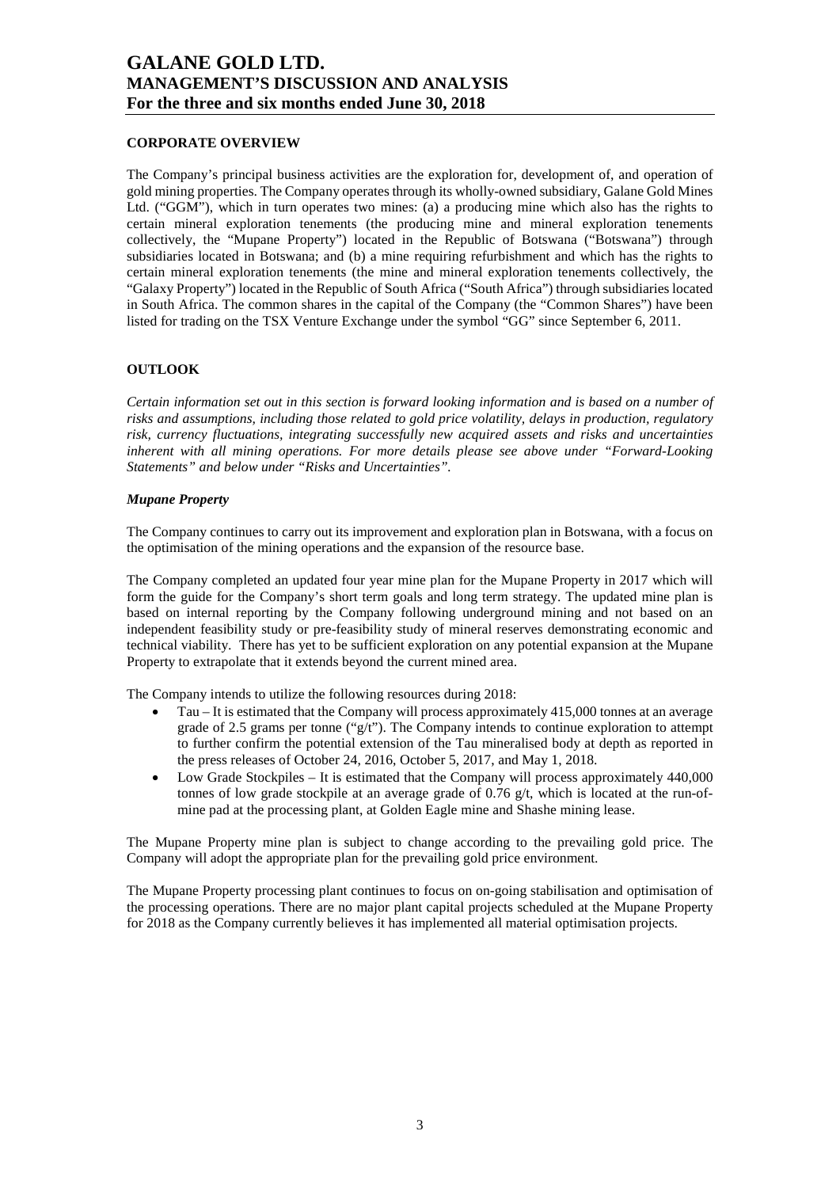#### **CORPORATE OVERVIEW**

The Company's principal business activities are the exploration for, development of, and operation of gold mining properties. The Company operates through its wholly-owned subsidiary, Galane Gold Mines Ltd. ("GGM"), which in turn operates two mines: (a) a producing mine which also has the rights to certain mineral exploration tenements (the producing mine and mineral exploration tenements collectively, the "Mupane Property") located in the Republic of Botswana ("Botswana") through subsidiaries located in Botswana; and (b) a mine requiring refurbishment and which has the rights to certain mineral exploration tenements (the mine and mineral exploration tenements collectively, the "Galaxy Property") located in the Republic of South Africa ("South Africa") through subsidiaries located in South Africa. The common shares in the capital of the Company (the "Common Shares") have been listed for trading on the TSX Venture Exchange under the symbol "GG" since September 6, 2011.

#### **OUTLOOK**

*Certain information set out in this section is forward looking information and is based on a number of risks and assumptions, including those related to gold price volatility, delays in production, regulatory risk, currency fluctuations, integrating successfully new acquired assets and risks and uncertainties inherent with all mining operations. For more details please see above under "Forward-Looking Statements" and below under "Risks and Uncertainties".* 

#### *Mupane Property*

The Company continues to carry out its improvement and exploration plan in Botswana, with a focus on the optimisation of the mining operations and the expansion of the resource base.

The Company completed an updated four year mine plan for the Mupane Property in 2017 which will form the guide for the Company's short term goals and long term strategy. The updated mine plan is based on internal reporting by the Company following underground mining and not based on an independent feasibility study or pre-feasibility study of mineral reserves demonstrating economic and technical viability. There has yet to be sufficient exploration on any potential expansion at the Mupane Property to extrapolate that it extends beyond the current mined area.

The Company intends to utilize the following resources during 2018:

- Tau It is estimated that the Company will process approximately 415,000 tonnes at an average grade of 2.5 grams per tonne  $("g/t")$ . The Company intends to continue exploration to attempt to further confirm the potential extension of the Tau mineralised body at depth as reported in the press releases of October 24, 2016, October 5, 2017, and May 1, 2018.
- Low Grade Stockpiles It is estimated that the Company will process approximately 440,000 tonnes of low grade stockpile at an average grade of 0.76  $g/t$ , which is located at the run-ofmine pad at the processing plant, at Golden Eagle mine and Shashe mining lease.

The Mupane Property mine plan is subject to change according to the prevailing gold price. The Company will adopt the appropriate plan for the prevailing gold price environment.

The Mupane Property processing plant continues to focus on on-going stabilisation and optimisation of the processing operations. There are no major plant capital projects scheduled at the Mupane Property for 2018 as the Company currently believes it has implemented all material optimisation projects.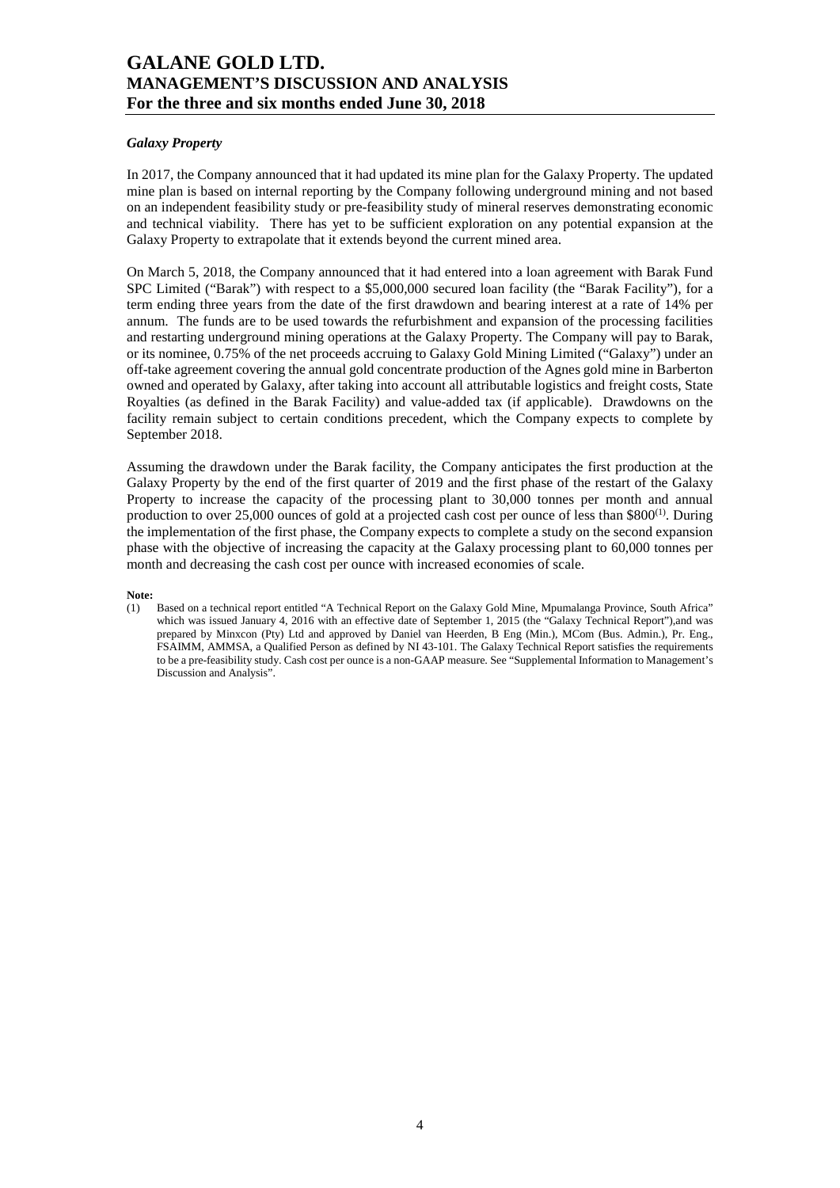#### *Galaxy Property*

In 2017, the Company announced that it had updated its mine plan for the Galaxy Property. The updated mine plan is based on internal reporting by the Company following underground mining and not based on an independent feasibility study or pre-feasibility study of mineral reserves demonstrating economic and technical viability. There has yet to be sufficient exploration on any potential expansion at the Galaxy Property to extrapolate that it extends beyond the current mined area.

On March 5, 2018, the Company announced that it had entered into a loan agreement with Barak Fund SPC Limited ("Barak") with respect to a \$5,000,000 secured loan facility (the "Barak Facility"), for a term ending three years from the date of the first drawdown and bearing interest at a rate of 14% per annum. The funds are to be used towards the refurbishment and expansion of the processing facilities and restarting underground mining operations at the Galaxy Property. The Company will pay to Barak, or its nominee, 0.75% of the net proceeds accruing to Galaxy Gold Mining Limited ("Galaxy") under an off-take agreement covering the annual gold concentrate production of the Agnes gold mine in Barberton owned and operated by Galaxy, after taking into account all attributable logistics and freight costs, State Royalties (as defined in the Barak Facility) and value-added tax (if applicable). Drawdowns on the facility remain subject to certain conditions precedent, which the Company expects to complete by September 2018.

Assuming the drawdown under the Barak facility, the Company anticipates the first production at the Galaxy Property by the end of the first quarter of 2019 and the first phase of the restart of the Galaxy Property to increase the capacity of the processing plant to 30,000 tonnes per month and annual production to over 25,000 ounces of gold at a projected cash cost per ounce of less than  $$800^{(1)}$ . During the implementation of the first phase, the Company expects to complete a study on the second expansion phase with the objective of increasing the capacity at the Galaxy processing plant to 60,000 tonnes per month and decreasing the cash cost per ounce with increased economies of scale.

#### **Note:**

(1) Based on a technical report entitled "A Technical Report on the Galaxy Gold Mine, Mpumalanga Province, South Africa" which was issued January 4, 2016 with an effective date of September 1, 2015 (the "Galaxy Technical Report"),and was prepared by Minxcon (Pty) Ltd and approved by Daniel van Heerden, B Eng (Min.), MCom (Bus. Admin.), Pr. Eng., FSAIMM, AMMSA, a Qualified Person as defined by NI 43-101. The Galaxy Technical Report satisfies the requirements to be a pre-feasibility study. Cash cost per ounce is a non-GAAP measure. See "Supplemental Information to Management's Discussion and Analysis".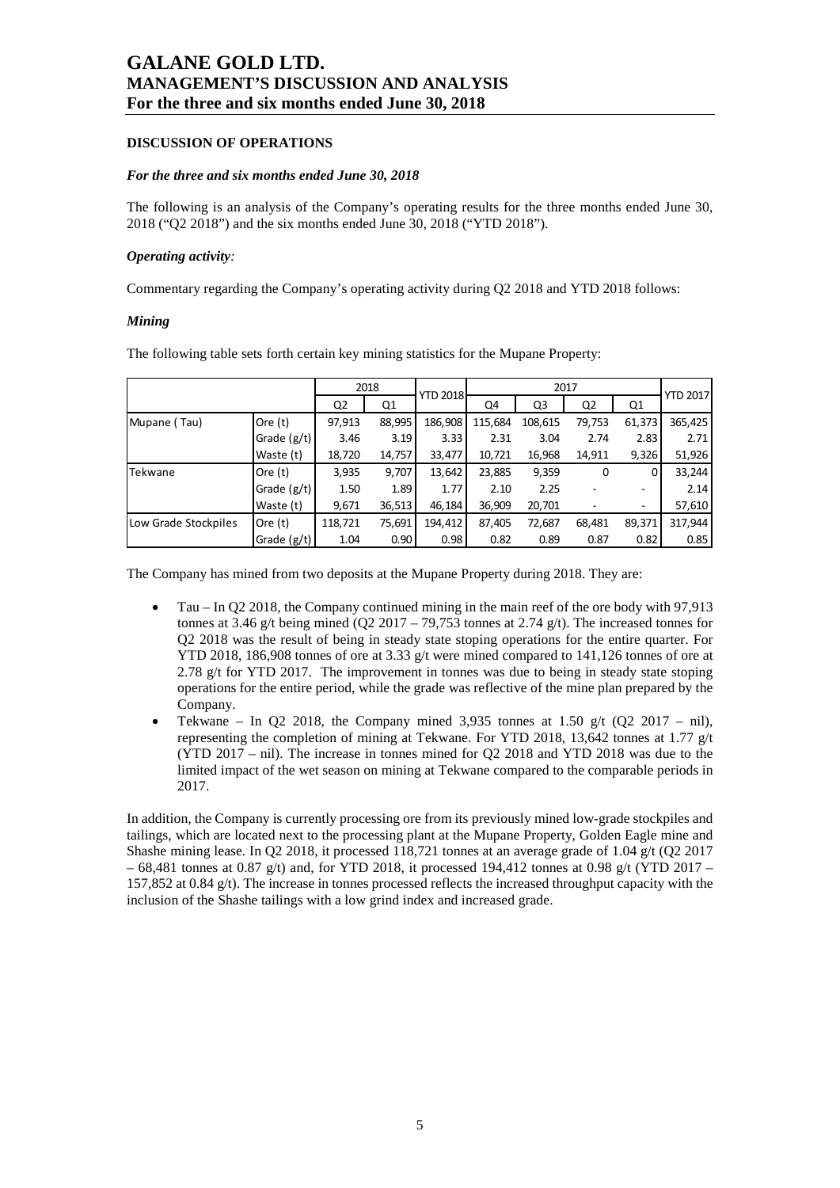#### **DISCUSSION OF OPERATIONS**

#### *For the three and six months ended June 30, 2018*

The following is an analysis of the Company's operating results for the three months ended June 30, 2018 ("Q2 2018") and the six months ended June 30, 2018 ("YTD 2018").

#### *Operating activity:*

Commentary regarding the Company's operating activity during Q2 2018 and YTD 2018 follows:

#### *Mining*

The following table sets forth certain key mining statistics for the Mupane Property:

|                      |               |         | 2018   |                 | 2017    |         |        |        | <b>YTD 2017</b> |  |
|----------------------|---------------|---------|--------|-----------------|---------|---------|--------|--------|-----------------|--|
|                      |               | Q2      | Q1     | <b>YTD 2018</b> | Q4      | Q3      | Q2     | Q1     |                 |  |
| Mupane (Tau)         | Ore $(t)$     | 97,913  | 88,995 | 186,908         | 115,684 | 108,615 | 79,753 | 61,373 | 365,425         |  |
|                      | Grade $(g/t)$ | 3.46    | 3.19   | 3.33            | 2.31    | 3.04    | 2.74   | 2.83   | 2.71            |  |
|                      | Waste (t)     | 18,720  | 14,757 | 33,477          | 10,721  | 16,968  | 14,911 | 9,326  | 51,926          |  |
| Tekwane              | Ore $(t)$     | 3,935   | 9,707  | 13,642          | 23,885  | 9,359   | 0      | 0      | 33,244          |  |
|                      | Grade (g/t)   | 1.50    | 1.89   | 1.77            | 2.10    | 2.25    |        |        | 2.14            |  |
|                      | Waste (t)     | 9,671   | 36,513 | 46,184          | 36,909  | 20,701  |        | ۰.     | 57,610          |  |
| Low Grade Stockpiles | Ore $(t)$     | 118,721 | 75,691 | 194,412         | 87,405  | 72,687  | 68,481 | 89,371 | 317,944         |  |
|                      | Grade (g/t)   | 1.04    | 0.90   | 0.98            | 0.82    | 0.89    | 0.87   | 0.82   | 0.85            |  |

The Company has mined from two deposits at the Mupane Property during 2018. They are:

- Tau In Q2 2018, the Company continued mining in the main reef of the ore body with 97,913 tonnes at 3.46 g/t being mined (Q2 2017 – 79,753 tonnes at 2.74 g/t). The increased tonnes for Q2 2018 was the result of being in steady state stoping operations for the entire quarter. For YTD 2018, 186,908 tonnes of ore at 3.33 g/t were mined compared to 141,126 tonnes of ore at 2.78 g/t for YTD 2017. The improvement in tonnes was due to being in steady state stoping operations for the entire period, while the grade was reflective of the mine plan prepared by the Company.
- Tekwane In O2 2018, the Company mined 3,935 tonnes at 1.50 g/t (O2 2017 nil), representing the completion of mining at Tekwane. For YTD 2018, 13,642 tonnes at 1.77 g/t (YTD 2017 – nil). The increase in tonnes mined for Q2 2018 and YTD 2018 was due to the limited impact of the wet season on mining at Tekwane compared to the comparable periods in 2017.

In addition, the Company is currently processing ore from its previously mined low-grade stockpiles and tailings, which are located next to the processing plant at the Mupane Property, Golden Eagle mine and Shashe mining lease. In Q2 2018, it processed 118,721 tonnes at an average grade of 1.04 g/t (Q2 2017  $-68,481$  tonnes at 0.87 g/t) and, for YTD 2018, it processed 194,412 tonnes at 0.98 g/t (YTD 2017 – 157,852 at 0.84  $g(t)$ . The increase in tonnes processed reflects the increased throughput capacity with the inclusion of the Shashe tailings with a low grind index and increased grade.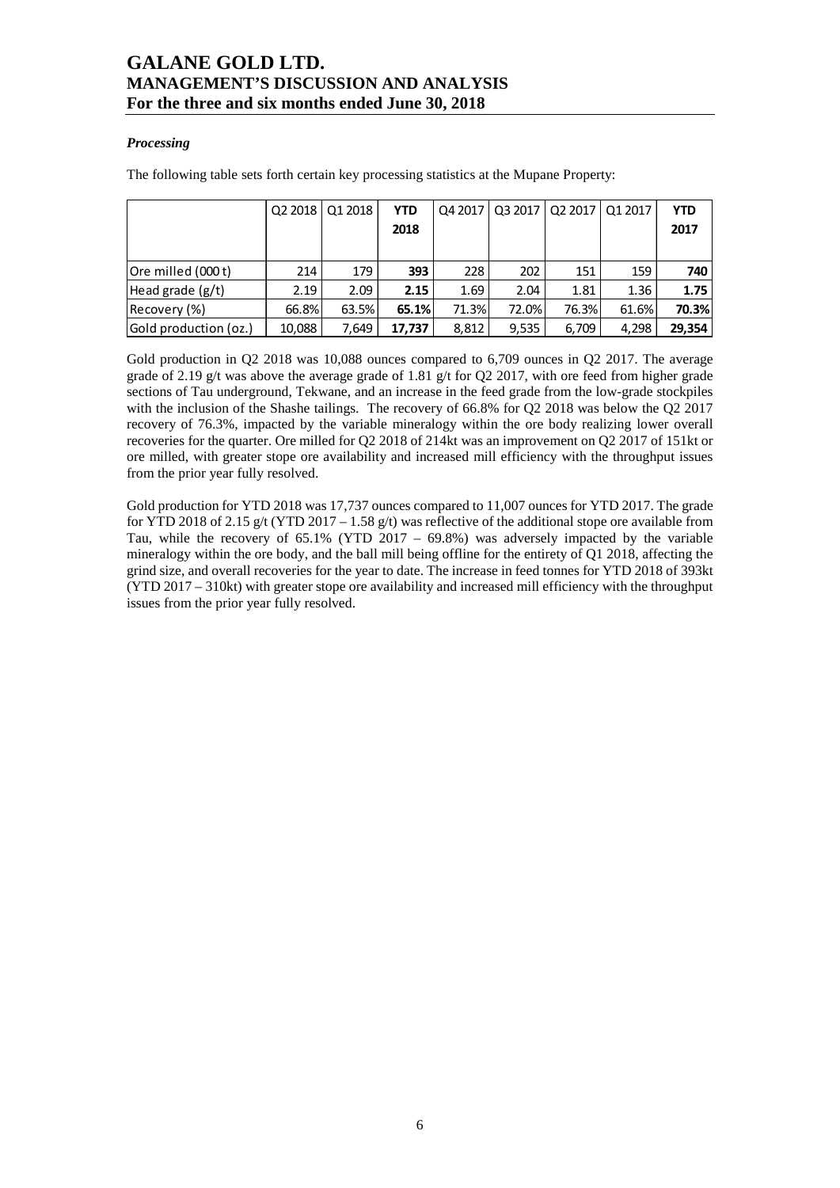#### *Processing*

The following table sets forth certain key processing statistics at the Mupane Property:

|                              |        | Q2 2018   Q1 2018 | <b>YTD</b> | Q4 2017 |       | 03 2017   02 2017   01 2017 |       | <b>YTD</b> |
|------------------------------|--------|-------------------|------------|---------|-------|-----------------------------|-------|------------|
|                              |        |                   | 2018       |         |       |                             |       | 2017       |
|                              |        |                   |            |         |       |                             |       |            |
| <b>Ore milled (000 t)</b>    | 214    | 179               | 393        | 228     | 202   | 151                         | 159   | 740        |
| Head grade $(g/t)$           | 2.19   | 2.09              | 2.15       | 1.69    | 2.04  | 1.81                        | 1.36  | 1.75       |
| Recovery (%)                 | 66.8%  | 63.5%             | 65.1%      | 71.3%   | 72.0% | 76.3%                       | 61.6% | 70.3%      |
| <b>Gold production (oz.)</b> | 10,088 | 7.649             | 17,737     | 8,812   | 9,535 | 6,709                       | 4,298 | 29,354     |

Gold production in Q2 2018 was 10,088 ounces compared to 6,709 ounces in Q2 2017. The average grade of 2.19 g/t was above the average grade of 1.81 g/t for Q2 2017, with ore feed from higher grade sections of Tau underground, Tekwane, and an increase in the feed grade from the low-grade stockpiles with the inclusion of the Shashe tailings. The recovery of 66.8% for Q2 2018 was below the Q2 2017 recovery of 76.3%, impacted by the variable mineralogy within the ore body realizing lower overall recoveries for the quarter. Ore milled for Q2 2018 of 214kt was an improvement on Q2 2017 of 151kt or ore milled, with greater stope ore availability and increased mill efficiency with the throughput issues from the prior year fully resolved.

Gold production for YTD 2018 was 17,737 ounces compared to 11,007 ounces for YTD 2017. The grade for YTD 2018 of 2.15 g/t (YTD 2017 – 1.58 g/t) was reflective of the additional stope ore available from Tau, while the recovery of 65.1% (YTD  $2017 - 69.8%$ ) was adversely impacted by the variable mineralogy within the ore body, and the ball mill being offline for the entirety of Q1 2018, affecting the grind size, and overall recoveries for the year to date. The increase in feed tonnes for YTD 2018 of 393kt (YTD 2017 – 310kt) with greater stope ore availability and increased mill efficiency with the throughput issues from the prior year fully resolved.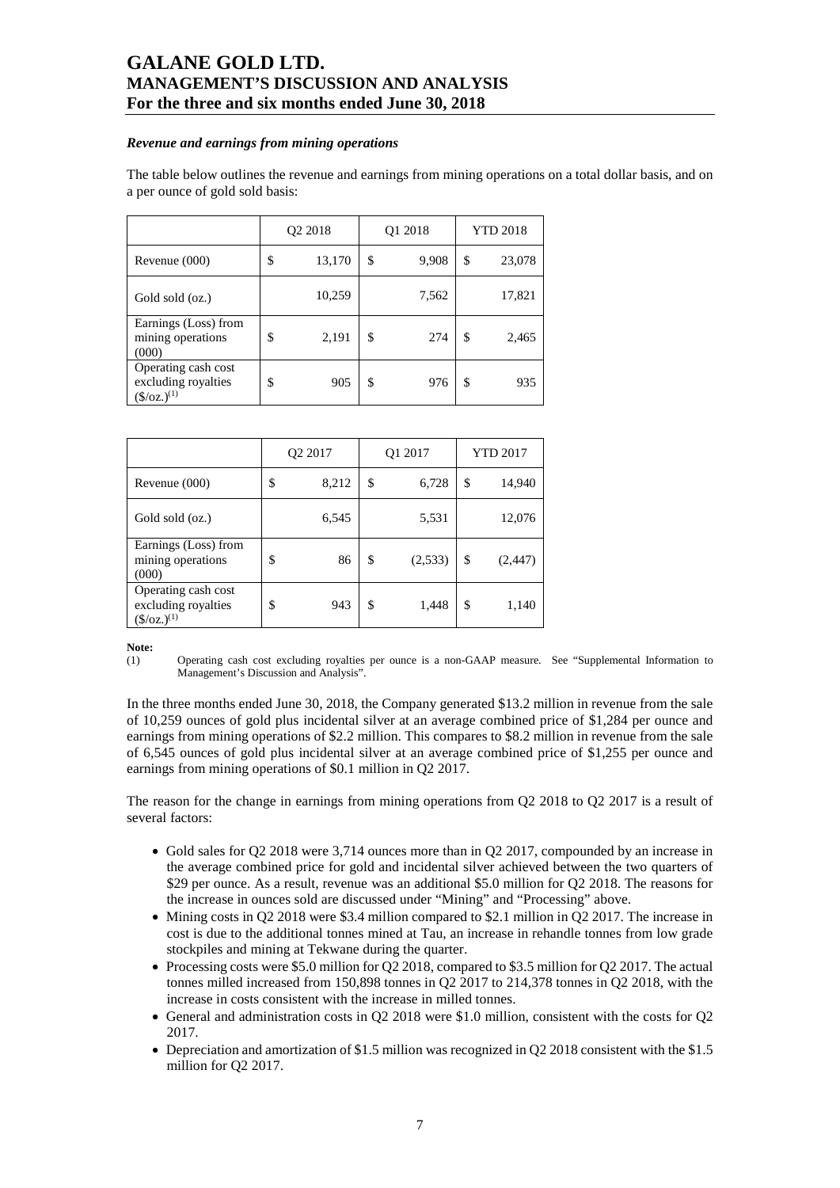#### *Revenue and earnings from mining operations*

The table below outlines the revenue and earnings from mining operations on a total dollar basis, and on a per ounce of gold sold basis:

|                                                                     | Q <sub>2</sub> 2018 |        | Q1 2018     | <b>YTD 2018</b> |        |  |
|---------------------------------------------------------------------|---------------------|--------|-------------|-----------------|--------|--|
| Revenue (000)                                                       | \$                  | 13,170 | \$<br>9,908 | \$              | 23,078 |  |
| Gold sold (oz.)                                                     |                     | 10,259 | 7,562       |                 | 17,821 |  |
| Earnings (Loss) from<br>mining operations<br>(000)                  | \$                  | 2,191  | \$<br>274   | \$              | 2,465  |  |
| Operating cash cost<br>excluding royalties<br>$(\frac{\csc(1)}{2})$ | \$                  | 905    | \$<br>976   | \$              | 935    |  |

|                                                                      | Q <sub>2</sub> 2017 |       | Q1 2017       | <b>YTD 2017</b> |          |
|----------------------------------------------------------------------|---------------------|-------|---------------|-----------------|----------|
| Revenue (000)                                                        | \$                  | 8,212 | \$<br>6,728   | \$              | 14,940   |
| Gold sold (oz.)                                                      |                     | 6,545 | 5,531         |                 | 12,076   |
| Earnings (Loss) from<br>mining operations<br>(000)                   | \$                  | 86    | \$<br>(2,533) | \$              | (2, 447) |
| Operating cash cost<br>excluding royalties<br>$(\frac{5}{oz})^{(1)}$ | \$                  | 943   | \$<br>1,448   | \$              | 1,140    |

**Note:** 

(1) Operating cash cost excluding royalties per ounce is a non-GAAP measure. See "Supplemental Information to Management's Discussion and Analysis".

In the three months ended June 30, 2018, the Company generated \$13.2 million in revenue from the sale of 10,259 ounces of gold plus incidental silver at an average combined price of \$1,284 per ounce and earnings from mining operations of \$2.2 million. This compares to \$8.2 million in revenue from the sale of 6,545 ounces of gold plus incidental silver at an average combined price of \$1,255 per ounce and earnings from mining operations of \$0.1 million in Q2 2017.

The reason for the change in earnings from mining operations from Q2 2018 to Q2 2017 is a result of several factors:

- Gold sales for Q2 2018 were 3,714 ounces more than in Q2 2017, compounded by an increase in the average combined price for gold and incidental silver achieved between the two quarters of \$29 per ounce. As a result, revenue was an additional \$5.0 million for Q2 2018. The reasons for the increase in ounces sold are discussed under "Mining" and "Processing" above.
- Mining costs in Q2 2018 were \$3.4 million compared to \$2.1 million in Q2 2017. The increase in cost is due to the additional tonnes mined at Tau, an increase in rehandle tonnes from low grade stockpiles and mining at Tekwane during the quarter.
- Processing costs were \$5.0 million for Q2 2018, compared to \$3.5 million for Q2 2017. The actual tonnes milled increased from 150,898 tonnes in Q2 2017 to 214,378 tonnes in Q2 2018, with the increase in costs consistent with the increase in milled tonnes.
- General and administration costs in Q2 2018 were \$1.0 million, consistent with the costs for Q2 2017.
- Depreciation and amortization of \$1.5 million was recognized in Q2 2018 consistent with the \$1.5 million for Q2 2017.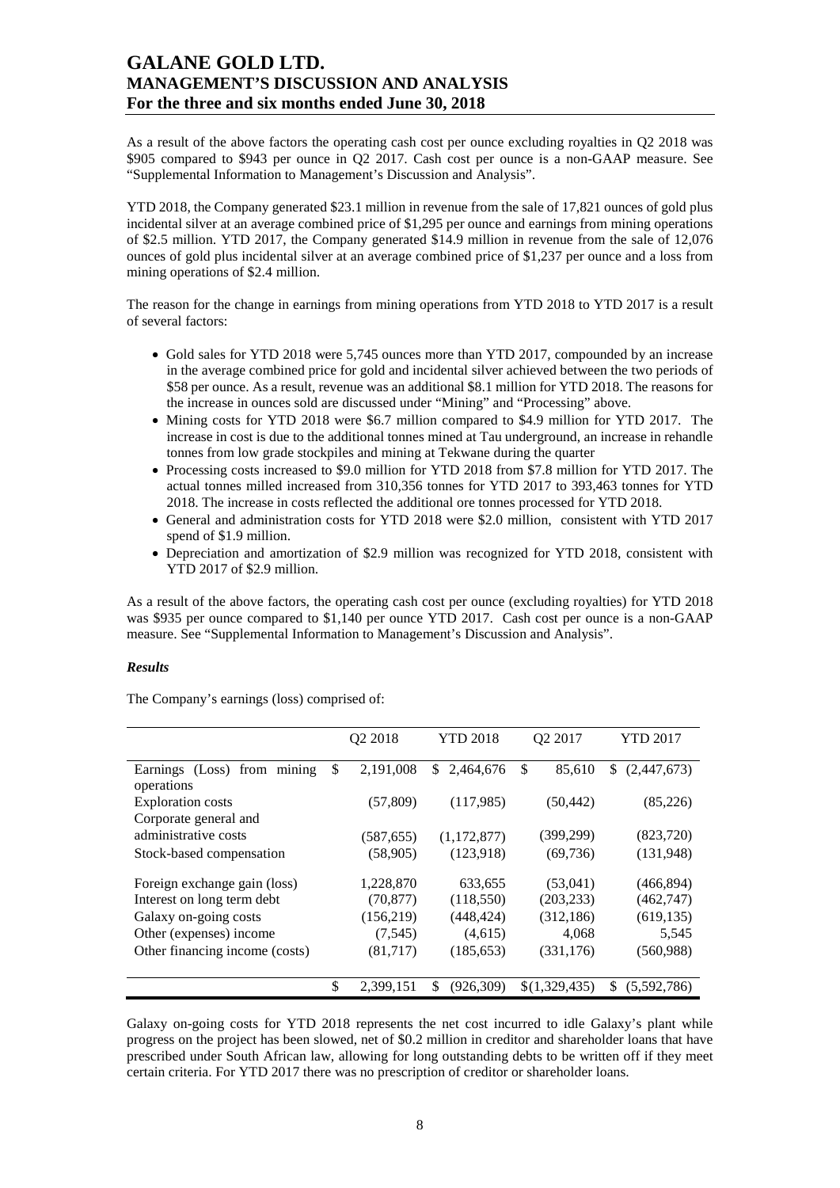As a result of the above factors the operating cash cost per ounce excluding royalties in Q2 2018 was \$905 compared to \$943 per ounce in Q2 2017. Cash cost per ounce is a non-GAAP measure. See "Supplemental Information to Management's Discussion and Analysis".

YTD 2018, the Company generated \$23.1 million in revenue from the sale of 17,821 ounces of gold plus incidental silver at an average combined price of \$1,295 per ounce and earnings from mining operations of \$2.5 million. YTD 2017, the Company generated \$14.9 million in revenue from the sale of 12,076 ounces of gold plus incidental silver at an average combined price of \$1,237 per ounce and a loss from mining operations of \$2.4 million.

The reason for the change in earnings from mining operations from YTD 2018 to YTD 2017 is a result of several factors:

- Gold sales for YTD 2018 were 5,745 ounces more than YTD 2017, compounded by an increase in the average combined price for gold and incidental silver achieved between the two periods of \$58 per ounce. As a result, revenue was an additional \$8.1 million for YTD 2018. The reasons for the increase in ounces sold are discussed under "Mining" and "Processing" above.
- Mining costs for YTD 2018 were \$6.7 million compared to \$4.9 million for YTD 2017. The increase in cost is due to the additional tonnes mined at Tau underground, an increase in rehandle tonnes from low grade stockpiles and mining at Tekwane during the quarter
- Processing costs increased to \$9.0 million for YTD 2018 from \$7.8 million for YTD 2017. The actual tonnes milled increased from 310,356 tonnes for YTD 2017 to 393,463 tonnes for YTD 2018. The increase in costs reflected the additional ore tonnes processed for YTD 2018.
- General and administration costs for YTD 2018 were \$2.0 million, consistent with YTD 2017 spend of \$1.9 million.
- Depreciation and amortization of \$2.9 million was recognized for YTD 2018, consistent with YTD 2017 of \$2.9 million.

As a result of the above factors, the operating cash cost per ounce (excluding royalties) for YTD 2018 was \$935 per ounce compared to \$1,140 per ounce YTD 2017. Cash cost per ounce is a non-GAAP measure. See "Supplemental Information to Management's Discussion and Analysis".

#### *Results*

The Company's earnings (loss) comprised of:

|                                | <b>YTD 2018</b><br>O <sub>2</sub> 2018 |                 | O <sub>2</sub> 2017 | <b>YTD 2017</b>   |
|--------------------------------|----------------------------------------|-----------------|---------------------|-------------------|
| Earnings (Loss) from mining    | \$<br>2,191,008                        | \$<br>2,464,676 | \$<br>85,610        | \$<br>(2,447,673) |
| operations                     |                                        |                 |                     |                   |
| <b>Exploration costs</b>       | (57, 809)                              | (117,985)       | (50, 442)           | (85,226)          |
| Corporate general and          |                                        |                 |                     |                   |
| administrative costs           | (587, 655)                             | (1, 172, 877)   | (399, 299)          | (823,720)         |
| Stock-based compensation       | (58,905)                               | (123,918)       | (69, 736)           | (131,948)         |
| Foreign exchange gain (loss)   | 1,228,870                              | 633,655         | (53,041)            | (466, 894)        |
| Interest on long term debt     | (70, 877)                              | (118,550)       | (203, 233)          | (462, 747)        |
| Galaxy on-going costs          | (156,219)                              | (448, 424)      | (312, 186)          | (619, 135)        |
| Other (expenses) income        | (7, 545)                               | (4,615)         | 4,068               | 5,545             |
| Other financing income (costs) | (81,717)                               | (185, 653)      | (331, 176)          | (560, 988)        |
|                                | \$<br>2,399,151                        | \$<br>(926,309) | \$(1,329,435)       | S<br>(5,592,786)  |

Galaxy on-going costs for YTD 2018 represents the net cost incurred to idle Galaxy's plant while progress on the project has been slowed, net of \$0.2 million in creditor and shareholder loans that have prescribed under South African law, allowing for long outstanding debts to be written off if they meet certain criteria. For YTD 2017 there was no prescription of creditor or shareholder loans.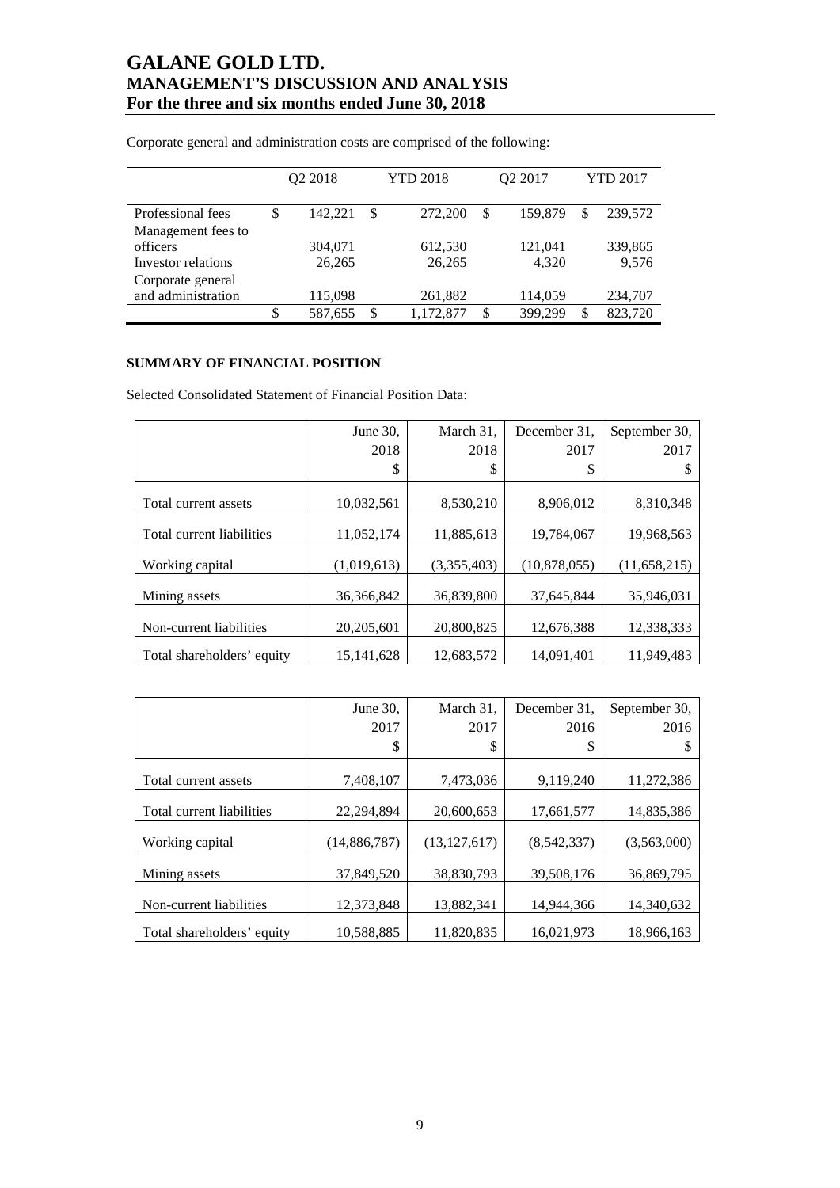|                    | Q2 2018 |         |    | <b>YTD 2018</b> | Q2 2017       | <b>YTD 2017</b> |         |
|--------------------|---------|---------|----|-----------------|---------------|-----------------|---------|
| Professional fees  | \$      | 142.221 | \$ | 272,200         | \$<br>159,879 | \$              | 239,572 |
| Management fees to |         |         |    |                 |               |                 |         |
| officers           |         | 304,071 |    | 612,530         | 121,041       |                 | 339,865 |
| Investor relations |         | 26,265  |    | 26,265          | 4.320         |                 | 9,576   |
| Corporate general  |         |         |    |                 |               |                 |         |
| and administration |         | 115,098 |    | 261,882         | 114,059       |                 | 234,707 |
|                    | \$      | 587,655 | S  | 1,172,877       | \$<br>399,299 | \$              | 823,720 |

Corporate general and administration costs are comprised of the following:

### **SUMMARY OF FINANCIAL POSITION**

Selected Consolidated Statement of Financial Position Data:

|                            | June 30,     | March 31,   | December 31,   | September 30.  |
|----------------------------|--------------|-------------|----------------|----------------|
|                            | 2018         | 2018        | 2017           | 2017           |
|                            | \$           | S           | \$             | S              |
| Total current assets       | 10,032,561   | 8.530.210   | 8,906,012      | 8,310,348      |
|                            |              |             |                |                |
| Total current liabilities  | 11,052,174   | 11,885,613  | 19,784,067     | 19,968,563     |
| Working capital            | (1,019,613)  | (3,355,403) | (10, 878, 055) | (11, 658, 215) |
| Mining assets              | 36, 366, 842 | 36,839,800  | 37,645,844     | 35,946,031     |
| Non-current liabilities    | 20, 205, 601 | 20,800,825  | 12,676,388     | 12,338,333     |
| Total shareholders' equity | 15, 141, 628 | 12,683,572  | 14,091,401     | 11,949,483     |

|                            | June $30$ ,    | March 31.      | December 31. | September 30. |
|----------------------------|----------------|----------------|--------------|---------------|
|                            | 2017           | 2017           | 2016         | 2016          |
|                            | \$             | \$             | \$           |               |
|                            |                |                |              |               |
| Total current assets       | 7,408,107      | 7,473,036      | 9,119,240    | 11,272,386    |
| Total current liabilities  | 22,294,894     | 20,600,653     | 17,661,577   | 14,835,386    |
| Working capital            | (14, 886, 787) | (13, 127, 617) | (8,542,337)  | (3,563,000)   |
| Mining assets              | 37,849,520     | 38,830,793     | 39.508.176   | 36,869,795    |
| Non-current liabilities    | 12,373,848     | 13,882,341     | 14,944,366   | 14,340,632    |
| Total shareholders' equity | 10,588,885     | 11,820,835     | 16,021,973   | 18,966,163    |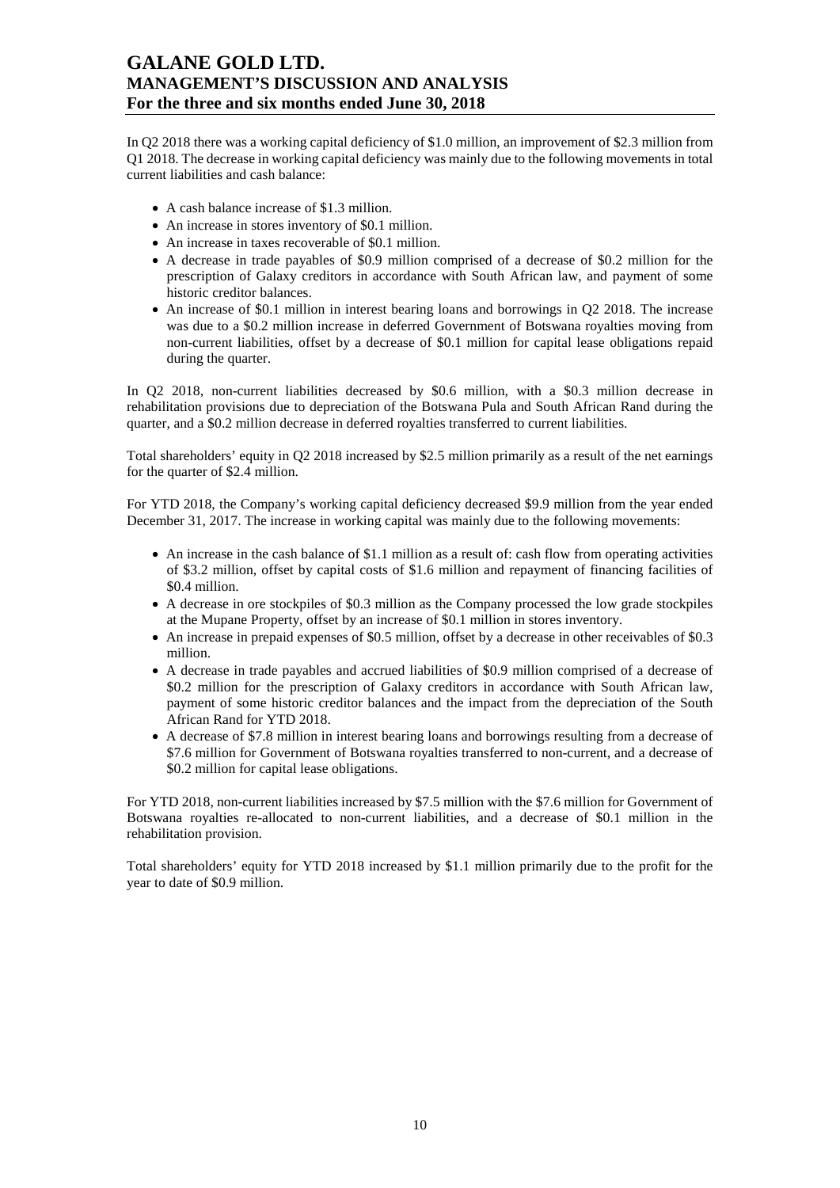In Q2 2018 there was a working capital deficiency of \$1.0 million, an improvement of \$2.3 million from Q1 2018. The decrease in working capital deficiency was mainly due to the following movements in total current liabilities and cash balance:

- A cash balance increase of \$1.3 million.
- An increase in stores inventory of \$0.1 million.
- An increase in taxes recoverable of \$0.1 million.
- A decrease in trade payables of \$0.9 million comprised of a decrease of \$0.2 million for the prescription of Galaxy creditors in accordance with South African law, and payment of some historic creditor balances.
- An increase of \$0.1 million in interest bearing loans and borrowings in Q2 2018. The increase was due to a \$0.2 million increase in deferred Government of Botswana royalties moving from non-current liabilities, offset by a decrease of \$0.1 million for capital lease obligations repaid during the quarter.

In Q2 2018, non-current liabilities decreased by \$0.6 million, with a \$0.3 million decrease in rehabilitation provisions due to depreciation of the Botswana Pula and South African Rand during the quarter, and a \$0.2 million decrease in deferred royalties transferred to current liabilities.

Total shareholders' equity in Q2 2018 increased by \$2.5 million primarily as a result of the net earnings for the quarter of \$2.4 million.

For YTD 2018, the Company's working capital deficiency decreased \$9.9 million from the year ended December 31, 2017. The increase in working capital was mainly due to the following movements:

- An increase in the cash balance of \$1.1 million as a result of: cash flow from operating activities of \$3.2 million, offset by capital costs of \$1.6 million and repayment of financing facilities of \$0.4 million.
- A decrease in ore stockpiles of \$0.3 million as the Company processed the low grade stockpiles at the Mupane Property, offset by an increase of \$0.1 million in stores inventory.
- An increase in prepaid expenses of \$0.5 million, offset by a decrease in other receivables of \$0.3 million.
- A decrease in trade payables and accrued liabilities of \$0.9 million comprised of a decrease of \$0.2 million for the prescription of Galaxy creditors in accordance with South African law, payment of some historic creditor balances and the impact from the depreciation of the South African Rand for YTD 2018.
- A decrease of \$7.8 million in interest bearing loans and borrowings resulting from a decrease of \$7.6 million for Government of Botswana royalties transferred to non-current, and a decrease of \$0.2 million for capital lease obligations.

For YTD 2018, non-current liabilities increased by \$7.5 million with the \$7.6 million for Government of Botswana royalties re-allocated to non-current liabilities, and a decrease of \$0.1 million in the rehabilitation provision.

Total shareholders' equity for YTD 2018 increased by \$1.1 million primarily due to the profit for the year to date of \$0.9 million.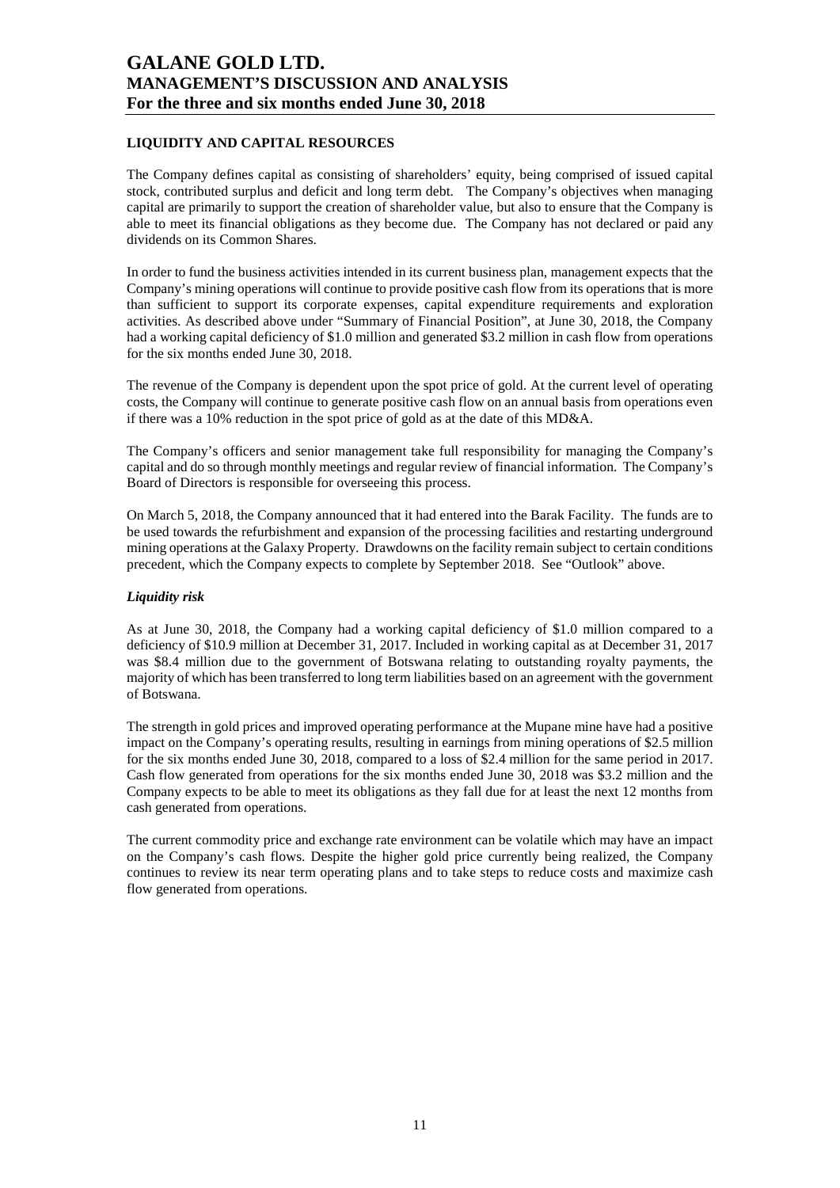### **LIQUIDITY AND CAPITAL RESOURCES**

The Company defines capital as consisting of shareholders' equity, being comprised of issued capital stock, contributed surplus and deficit and long term debt. The Company's objectives when managing capital are primarily to support the creation of shareholder value, but also to ensure that the Company is able to meet its financial obligations as they become due. The Company has not declared or paid any dividends on its Common Shares.

In order to fund the business activities intended in its current business plan, management expects that the Company's mining operations will continue to provide positive cash flow from its operations that is more than sufficient to support its corporate expenses, capital expenditure requirements and exploration activities. As described above under "Summary of Financial Position", at June 30, 2018, the Company had a working capital deficiency of \$1.0 million and generated \$3.2 million in cash flow from operations for the six months ended June 30, 2018.

The revenue of the Company is dependent upon the spot price of gold. At the current level of operating costs, the Company will continue to generate positive cash flow on an annual basis from operations even if there was a 10% reduction in the spot price of gold as at the date of this MD&A.

The Company's officers and senior management take full responsibility for managing the Company's capital and do so through monthly meetings and regular review of financial information. The Company's Board of Directors is responsible for overseeing this process.

On March 5, 2018, the Company announced that it had entered into the Barak Facility. The funds are to be used towards the refurbishment and expansion of the processing facilities and restarting underground mining operations at the Galaxy Property. Drawdowns on the facility remain subject to certain conditions precedent, which the Company expects to complete by September 2018. See "Outlook" above.

#### *Liquidity risk*

As at June 30, 2018, the Company had a working capital deficiency of \$1.0 million compared to a deficiency of \$10.9 million at December 31, 2017. Included in working capital as at December 31, 2017 was \$8.4 million due to the government of Botswana relating to outstanding royalty payments, the majority of which has been transferred to long term liabilities based on an agreement with the government of Botswana.

The strength in gold prices and improved operating performance at the Mupane mine have had a positive impact on the Company's operating results, resulting in earnings from mining operations of \$2.5 million for the six months ended June 30, 2018, compared to a loss of \$2.4 million for the same period in 2017. Cash flow generated from operations for the six months ended June 30, 2018 was \$3.2 million and the Company expects to be able to meet its obligations as they fall due for at least the next 12 months from cash generated from operations.

The current commodity price and exchange rate environment can be volatile which may have an impact on the Company's cash flows. Despite the higher gold price currently being realized, the Company continues to review its near term operating plans and to take steps to reduce costs and maximize cash flow generated from operations.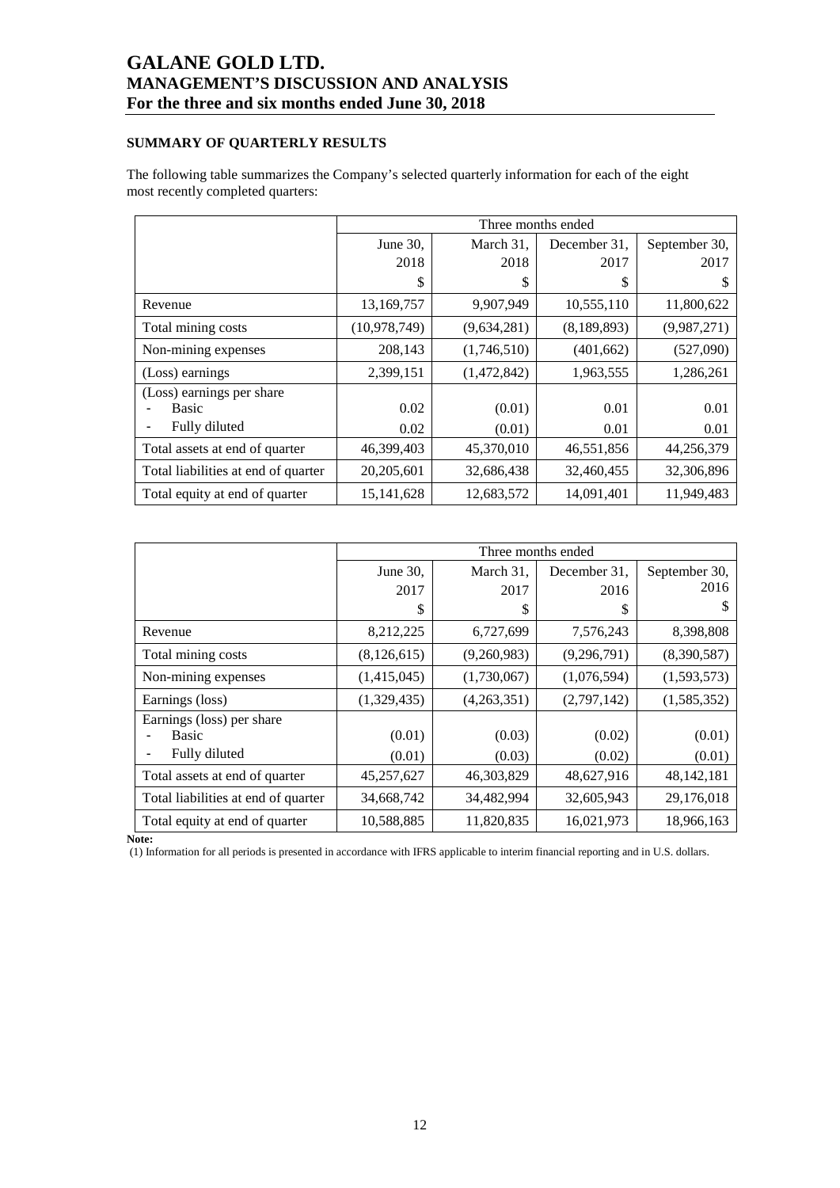### **SUMMARY OF QUARTERLY RESULTS**

The following table summarizes the Company's selected quarterly information for each of the eight most recently completed quarters:

|                                     |                |             | Three months ended |               |
|-------------------------------------|----------------|-------------|--------------------|---------------|
|                                     | June 30,       | March 31,   | December 31.       | September 30, |
|                                     | 2018           | 2018        | 2017               | 2017          |
|                                     | S              | \$          | \$                 | \$            |
| Revenue                             | 13,169,757     | 9,907,949   | 10,555,110         | 11,800,622    |
| Total mining costs                  | (10, 978, 749) | (9,634,281) | (8,189,893)        | (9,987,271)   |
| Non-mining expenses                 | 208,143        | (1,746,510) | (401, 662)         | (527,090)     |
| (Loss) earnings                     | 2,399,151      | (1,472,842) | 1,963,555          | 1,286,261     |
| (Loss) earnings per share           |                |             |                    |               |
| Basic                               | 0.02           | (0.01)      | 0.01               | 0.01          |
| Fully diluted                       | 0.02           | (0.01)      | 0.01               | 0.01          |
| Total assets at end of quarter      | 46,399,403     | 45,370,010  | 46,551,856         | 44,256,379    |
| Total liabilities at end of quarter | 20,205,601     | 32,686,438  | 32,460,455         | 32,306,896    |
| Total equity at end of quarter      | 15, 141, 628   | 12,683,572  | 14,091,401         | 11.949.483    |

|                                     |             |             | Three months ended |               |
|-------------------------------------|-------------|-------------|--------------------|---------------|
|                                     | June 30,    | March 31,   | December 31,       | September 30, |
|                                     | 2017        | 2017        | 2016               | 2016          |
|                                     | S           | S           | S                  |               |
| Revenue                             | 8,212,225   | 6,727,699   | 7,576,243          | 8,398,808     |
| Total mining costs                  | (8,126,615) | (9,260,983) | (9,296,791)        | (8,390,587)   |
| Non-mining expenses                 | (1,415,045) | (1,730,067) | (1,076,594)        | (1,593,573)   |
| Earnings (loss)                     | (1,329,435) | (4,263,351) | (2,797,142)        | (1,585,352)   |
| Earnings (loss) per share           |             |             |                    |               |
| <b>Basic</b>                        | (0.01)      | (0.03)      | (0.02)             | (0.01)        |
| Fully diluted                       | (0.01)      | (0.03)      | (0.02)             | (0.01)        |
| Total assets at end of quarter      | 45,257,627  | 46,303,829  | 48,627,916         | 48, 142, 181  |
| Total liabilities at end of quarter | 34,668,742  | 34,482,994  | 32,605,943         | 29,176,018    |
| Total equity at end of quarter      | 10,588,885  | 11,820,835  | 16,021,973         | 18,966,163    |

**Note:** 

(1) Information for all periods is presented in accordance with IFRS applicable to interim financial reporting and in U.S. dollars.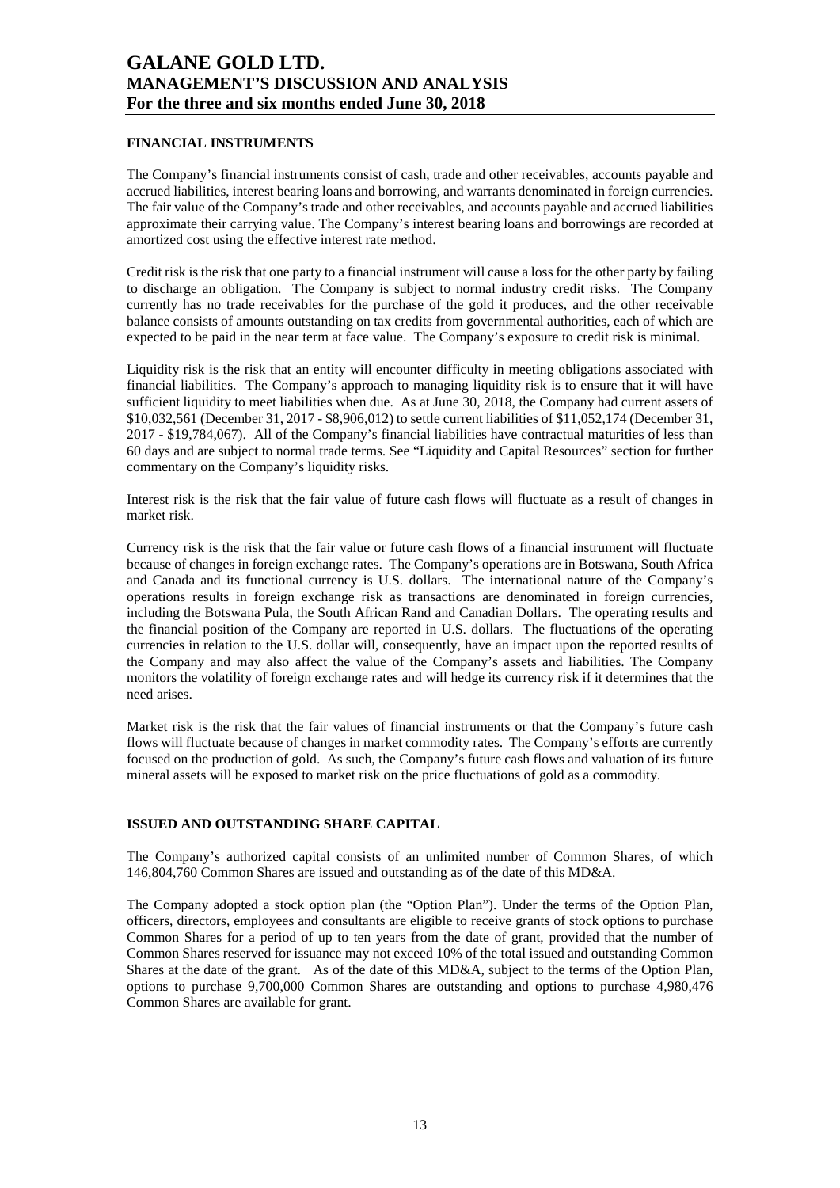#### **FINANCIAL INSTRUMENTS**

The Company's financial instruments consist of cash, trade and other receivables, accounts payable and accrued liabilities, interest bearing loans and borrowing, and warrants denominated in foreign currencies. The fair value of the Company's trade and other receivables, and accounts payable and accrued liabilities approximate their carrying value. The Company's interest bearing loans and borrowings are recorded at amortized cost using the effective interest rate method.

Credit risk is the risk that one party to a financial instrument will cause a loss for the other party by failing to discharge an obligation. The Company is subject to normal industry credit risks. The Company currently has no trade receivables for the purchase of the gold it produces, and the other receivable balance consists of amounts outstanding on tax credits from governmental authorities, each of which are expected to be paid in the near term at face value. The Company's exposure to credit risk is minimal.

Liquidity risk is the risk that an entity will encounter difficulty in meeting obligations associated with financial liabilities. The Company's approach to managing liquidity risk is to ensure that it will have sufficient liquidity to meet liabilities when due. As at June 30, 2018, the Company had current assets of \$10,032,561 (December 31, 2017 - \$8,906,012) to settle current liabilities of \$11,052,174 (December 31, 2017 - \$19,784,067). All of the Company's financial liabilities have contractual maturities of less than 60 days and are subject to normal trade terms. See "Liquidity and Capital Resources" section for further commentary on the Company's liquidity risks.

Interest risk is the risk that the fair value of future cash flows will fluctuate as a result of changes in market risk.

Currency risk is the risk that the fair value or future cash flows of a financial instrument will fluctuate because of changes in foreign exchange rates. The Company's operations are in Botswana, South Africa and Canada and its functional currency is U.S. dollars. The international nature of the Company's operations results in foreign exchange risk as transactions are denominated in foreign currencies, including the Botswana Pula, the South African Rand and Canadian Dollars. The operating results and the financial position of the Company are reported in U.S. dollars. The fluctuations of the operating currencies in relation to the U.S. dollar will, consequently, have an impact upon the reported results of the Company and may also affect the value of the Company's assets and liabilities. The Company monitors the volatility of foreign exchange rates and will hedge its currency risk if it determines that the need arises.

Market risk is the risk that the fair values of financial instruments or that the Company's future cash flows will fluctuate because of changes in market commodity rates. The Company's efforts are currently focused on the production of gold. As such, the Company's future cash flows and valuation of its future mineral assets will be exposed to market risk on the price fluctuations of gold as a commodity.

#### **ISSUED AND OUTSTANDING SHARE CAPITAL**

The Company's authorized capital consists of an unlimited number of Common Shares, of which 146,804,760 Common Shares are issued and outstanding as of the date of this MD&A.

The Company adopted a stock option plan (the "Option Plan"). Under the terms of the Option Plan, officers, directors, employees and consultants are eligible to receive grants of stock options to purchase Common Shares for a period of up to ten years from the date of grant, provided that the number of Common Shares reserved for issuance may not exceed 10% of the total issued and outstanding Common Shares at the date of the grant. As of the date of this MD&A, subject to the terms of the Option Plan, options to purchase 9,700,000 Common Shares are outstanding and options to purchase 4,980,476 Common Shares are available for grant.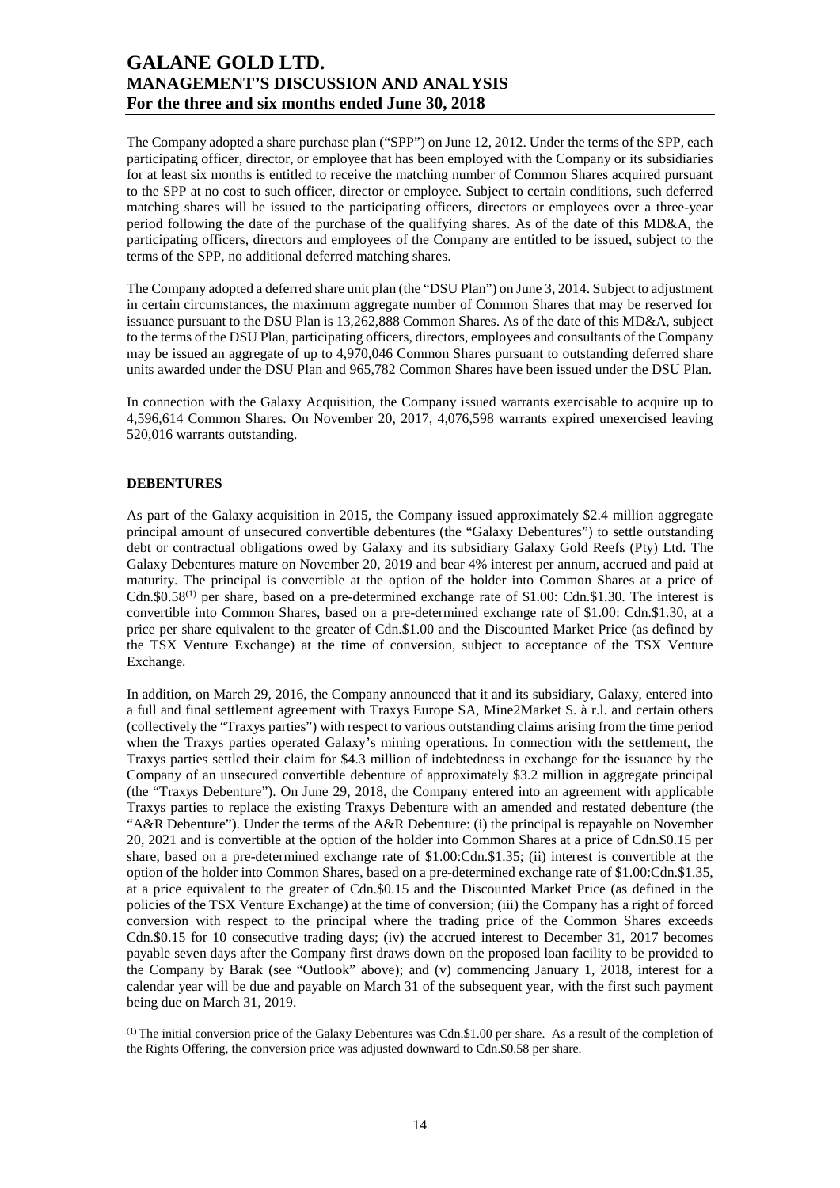The Company adopted a share purchase plan ("SPP") on June 12, 2012. Under the terms of the SPP, each participating officer, director, or employee that has been employed with the Company or its subsidiaries for at least six months is entitled to receive the matching number of Common Shares acquired pursuant to the SPP at no cost to such officer, director or employee. Subject to certain conditions, such deferred matching shares will be issued to the participating officers, directors or employees over a three-year period following the date of the purchase of the qualifying shares. As of the date of this MD&A, the participating officers, directors and employees of the Company are entitled to be issued, subject to the terms of the SPP, no additional deferred matching shares.

The Company adopted a deferred share unit plan (the "DSU Plan") on June 3, 2014. Subject to adjustment in certain circumstances, the maximum aggregate number of Common Shares that may be reserved for issuance pursuant to the DSU Plan is 13,262,888 Common Shares. As of the date of this MD&A, subject to the terms of the DSU Plan, participating officers, directors, employees and consultants of the Company may be issued an aggregate of up to 4,970,046 Common Shares pursuant to outstanding deferred share units awarded under the DSU Plan and 965,782 Common Shares have been issued under the DSU Plan.

In connection with the Galaxy Acquisition, the Company issued warrants exercisable to acquire up to 4,596,614 Common Shares. On November 20, 2017, 4,076,598 warrants expired unexercised leaving 520,016 warrants outstanding.

#### **DEBENTURES**

As part of the Galaxy acquisition in 2015, the Company issued approximately \$2.4 million aggregate principal amount of unsecured convertible debentures (the "Galaxy Debentures") to settle outstanding debt or contractual obligations owed by Galaxy and its subsidiary Galaxy Gold Reefs (Pty) Ltd. The Galaxy Debentures mature on November 20, 2019 and bear 4% interest per annum, accrued and paid at maturity. The principal is convertible at the option of the holder into Common Shares at a price of Cdn. $$0.58^{(1)}$  per share, based on a pre-determined exchange rate of \$1.00: Cdn.\$1.30. The interest is convertible into Common Shares, based on a pre-determined exchange rate of \$1.00: Cdn.\$1.30, at a price per share equivalent to the greater of Cdn.\$1.00 and the Discounted Market Price (as defined by the TSX Venture Exchange) at the time of conversion, subject to acceptance of the TSX Venture Exchange.

In addition, on March 29, 2016, the Company announced that it and its subsidiary, Galaxy, entered into a full and final settlement agreement with Traxys Europe SA, Mine2Market S. à r.l. and certain others (collectively the "Traxys parties") with respect to various outstanding claims arising from the time period when the Traxys parties operated Galaxy's mining operations. In connection with the settlement, the Traxys parties settled their claim for \$4.3 million of indebtedness in exchange for the issuance by the Company of an unsecured convertible debenture of approximately \$3.2 million in aggregate principal (the "Traxys Debenture"). On June 29, 2018, the Company entered into an agreement with applicable Traxys parties to replace the existing Traxys Debenture with an amended and restated debenture (the "A&R Debenture"). Under the terms of the A&R Debenture: (i) the principal is repayable on November 20, 2021 and is convertible at the option of the holder into Common Shares at a price of Cdn.\$0.15 per share, based on a pre-determined exchange rate of \$1.00:Cdn.\$1.35; (ii) interest is convertible at the option of the holder into Common Shares, based on a pre-determined exchange rate of \$1.00:Cdn.\$1.35, at a price equivalent to the greater of Cdn.\$0.15 and the Discounted Market Price (as defined in the policies of the TSX Venture Exchange) at the time of conversion; (iii) the Company has a right of forced conversion with respect to the principal where the trading price of the Common Shares exceeds Cdn.\$0.15 for 10 consecutive trading days; (iv) the accrued interest to December 31, 2017 becomes payable seven days after the Company first draws down on the proposed loan facility to be provided to the Company by Barak (see "Outlook" above); and (v) commencing January 1, 2018, interest for a calendar year will be due and payable on March 31 of the subsequent year, with the first such payment being due on March 31, 2019.

 $<sup>(1)</sup>$  The initial conversion price of the Galaxy Debentures was Cdn.\$1.00 per share. As a result of the completion of</sup> the Rights Offering, the conversion price was adjusted downward to Cdn.\$0.58 per share.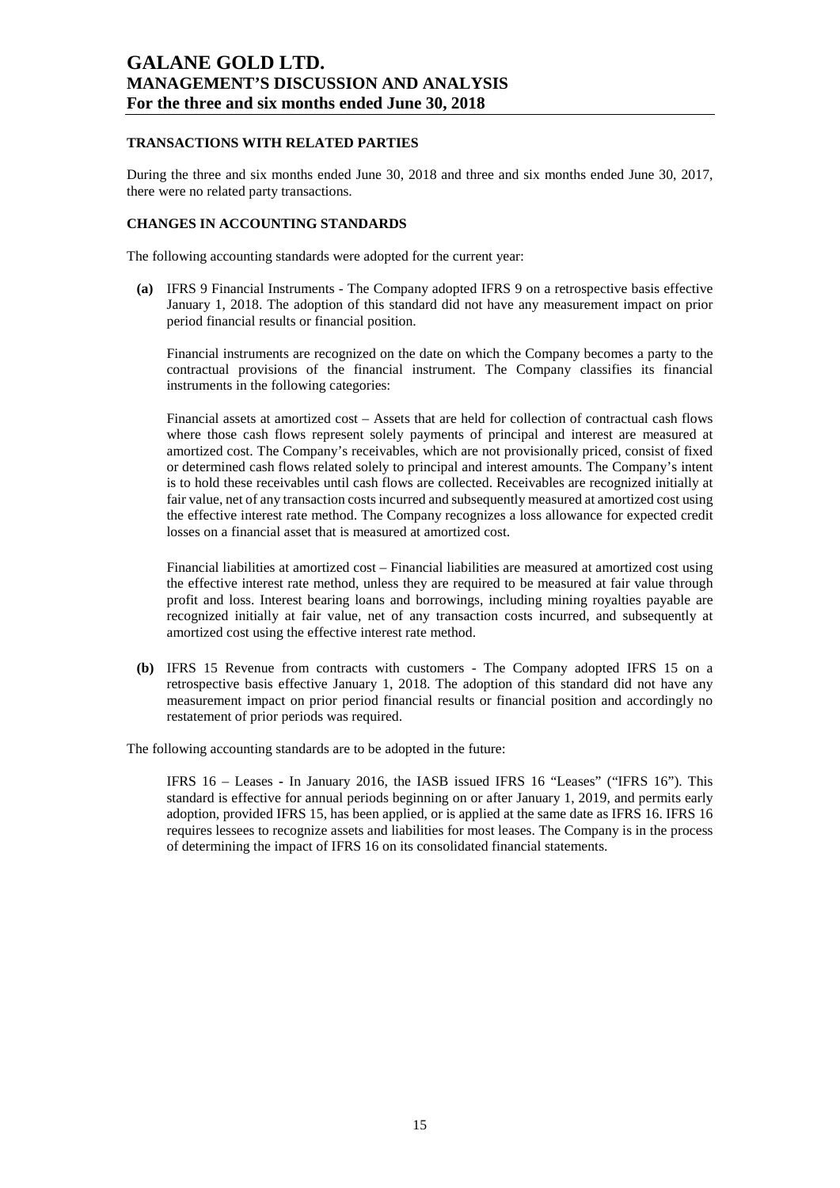#### **TRANSACTIONS WITH RELATED PARTIES**

During the three and six months ended June 30, 2018 and three and six months ended June 30, 2017, there were no related party transactions.

### **CHANGES IN ACCOUNTING STANDARDS**

The following accounting standards were adopted for the current year:

**(a)** IFRS 9 Financial Instruments - The Company adopted IFRS 9 on a retrospective basis effective January 1, 2018. The adoption of this standard did not have any measurement impact on prior period financial results or financial position.

Financial instruments are recognized on the date on which the Company becomes a party to the contractual provisions of the financial instrument. The Company classifies its financial instruments in the following categories:

Financial assets at amortized cost – Assets that are held for collection of contractual cash flows where those cash flows represent solely payments of principal and interest are measured at amortized cost. The Company's receivables, which are not provisionally priced, consist of fixed or determined cash flows related solely to principal and interest amounts. The Company's intent is to hold these receivables until cash flows are collected. Receivables are recognized initially at fair value, net of any transaction costs incurred and subsequently measured at amortized cost using the effective interest rate method. The Company recognizes a loss allowance for expected credit losses on a financial asset that is measured at amortized cost.

Financial liabilities at amortized cost *–* Financial liabilities are measured at amortized cost using the effective interest rate method, unless they are required to be measured at fair value through profit and loss. Interest bearing loans and borrowings, including mining royalties payable are recognized initially at fair value, net of any transaction costs incurred, and subsequently at amortized cost using the effective interest rate method.

**(b)** IFRS 15 Revenue from contracts with customers - The Company adopted IFRS 15 on a retrospective basis effective January 1, 2018. The adoption of this standard did not have any measurement impact on prior period financial results or financial position and accordingly no restatement of prior periods was required.

The following accounting standards are to be adopted in the future:

IFRS 16 – Leases **-** In January 2016, the IASB issued IFRS 16 "Leases" ("IFRS 16"). This standard is effective for annual periods beginning on or after January 1, 2019, and permits early adoption, provided IFRS 15, has been applied, or is applied at the same date as IFRS 16. IFRS 16 requires lessees to recognize assets and liabilities for most leases. The Company is in the process of determining the impact of IFRS 16 on its consolidated financial statements.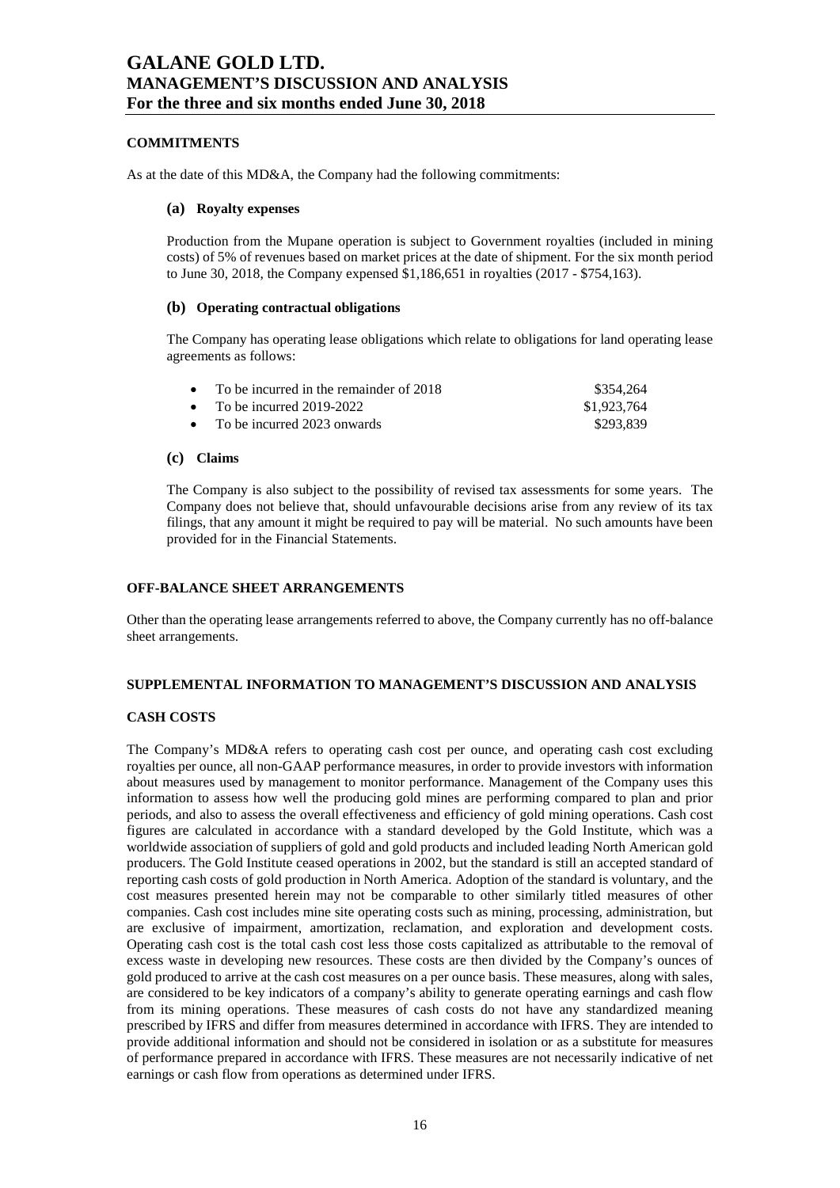#### **COMMITMENTS**

As at the date of this MD&A, the Company had the following commitments:

#### **(a) Royalty expenses**

Production from the Mupane operation is subject to Government royalties (included in mining costs) of 5% of revenues based on market prices at the date of shipment. For the six month period to June 30, 2018, the Company expensed \$1,186,651 in royalties (2017 - \$754,163).

#### **(b) Operating contractual obligations**

The Company has operating lease obligations which relate to obligations for land operating lease agreements as follows:

| • To be incurred in the remainder of $2018$ | \$354.264   |
|---------------------------------------------|-------------|
| • To be incurred $2019-2022$                | \$1,923,764 |
| • To be incurred 2023 onwards               | \$293.839   |

### **(c) Claims**

The Company is also subject to the possibility of revised tax assessments for some years. The Company does not believe that, should unfavourable decisions arise from any review of its tax filings, that any amount it might be required to pay will be material. No such amounts have been provided for in the Financial Statements.

#### **OFF-BALANCE SHEET ARRANGEMENTS**

Other than the operating lease arrangements referred to above, the Company currently has no off-balance sheet arrangements.

#### **SUPPLEMENTAL INFORMATION TO MANAGEMENT'S DISCUSSION AND ANALYSIS**

#### **CASH COSTS**

The Company's MD&A refers to operating cash cost per ounce, and operating cash cost excluding royalties per ounce, all non-GAAP performance measures, in order to provide investors with information about measures used by management to monitor performance. Management of the Company uses this information to assess how well the producing gold mines are performing compared to plan and prior periods, and also to assess the overall effectiveness and efficiency of gold mining operations. Cash cost figures are calculated in accordance with a standard developed by the Gold Institute, which was a worldwide association of suppliers of gold and gold products and included leading North American gold producers. The Gold Institute ceased operations in 2002, but the standard is still an accepted standard of reporting cash costs of gold production in North America. Adoption of the standard is voluntary, and the cost measures presented herein may not be comparable to other similarly titled measures of other companies. Cash cost includes mine site operating costs such as mining, processing, administration, but are exclusive of impairment, amortization, reclamation, and exploration and development costs. Operating cash cost is the total cash cost less those costs capitalized as attributable to the removal of excess waste in developing new resources. These costs are then divided by the Company's ounces of gold produced to arrive at the cash cost measures on a per ounce basis. These measures, along with sales, are considered to be key indicators of a company's ability to generate operating earnings and cash flow from its mining operations. These measures of cash costs do not have any standardized meaning prescribed by IFRS and differ from measures determined in accordance with IFRS. They are intended to provide additional information and should not be considered in isolation or as a substitute for measures of performance prepared in accordance with IFRS. These measures are not necessarily indicative of net earnings or cash flow from operations as determined under IFRS.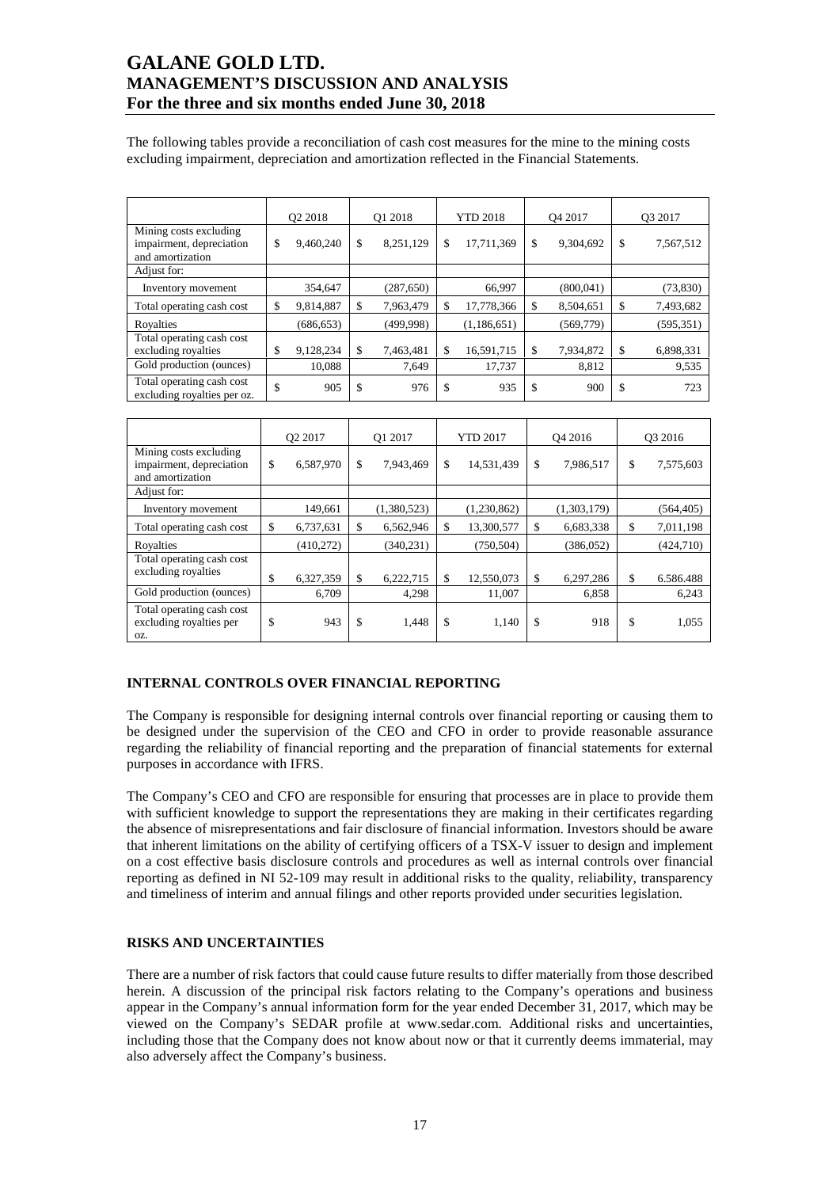The following tables provide a reconciliation of cash cost measures for the mine to the mining costs excluding impairment, depreciation and amortization reflected in the Financial Statements.

|                                                                        | O <sub>2</sub> 2018 |            | O1 2018 |            |    | <b>YTD 2018</b> |    | O <sub>4</sub> 2017 |    | O3 2017    |  |
|------------------------------------------------------------------------|---------------------|------------|---------|------------|----|-----------------|----|---------------------|----|------------|--|
| Mining costs excluding<br>impairment, depreciation<br>and amortization | \$                  | 9,460,240  | \$      | 8,251,129  | \$ | 17,711,369      | \$ | 9,304,692           | \$ | 7,567,512  |  |
| Adjust for:                                                            |                     |            |         |            |    |                 |    |                     |    |            |  |
| Inventory movement                                                     |                     | 354,647    |         | (287, 650) |    | 66,997          |    | (800, 041)          |    | (73, 830)  |  |
| Total operating cash cost                                              | \$                  | 9,814,887  | \$      | 7,963,479  | S  | 17,778,366      | \$ | 8,504,651           | \$ | 7,493,682  |  |
| Royalties                                                              |                     | (686, 653) |         | (499, 998) |    | (1,186,651)     |    | (569, 779)          |    | (595, 351) |  |
| Total operating cash cost<br>excluding royalties                       | \$                  | 9,128,234  | \$      | 7,463,481  |    | 16,591,715      | \$ | 7,934,872           | \$ | 6,898,331  |  |
| Gold production (ounces)                                               |                     | 10,088     |         | 7,649      |    | 17,737          |    | 8,812               |    | 9,535      |  |
| Total operating cash cost<br>excluding royalties per oz.               | \$                  | 905        | \$      | 976        | \$ | 935             | \$ | 900                 | \$ | 723        |  |

|                                                                        | O <sub>2</sub> 2017 |           | O1 2017       |             | <b>YTD 2017</b> |             | O <sub>4</sub> 2016 |             | O <sub>3</sub> 2016 |            |
|------------------------------------------------------------------------|---------------------|-----------|---------------|-------------|-----------------|-------------|---------------------|-------------|---------------------|------------|
| Mining costs excluding<br>impairment, depreciation<br>and amortization | \$                  | 6,587,970 | $\mathbf{\$}$ | 7,943,469   | \$              | 14,531,439  | \$                  | 7,986,517   | \$                  | 7,575,603  |
| Adjust for:                                                            |                     |           |               |             |                 |             |                     |             |                     |            |
| Inventory movement                                                     |                     | 149,661   |               | (1,380,523) |                 | (1,230,862) |                     | (1,303,179) |                     | (564, 405) |
| Total operating cash cost                                              | \$                  | 6,737,631 | \$            | 6,562,946   | \$              | 13,300,577  | \$                  | 6,683,338   | \$                  | 7,011,198  |
| Royalties                                                              |                     | (410,272) |               | (340, 231)  |                 | (750, 504)  |                     | (386, 052)  |                     | (424, 710) |
| Total operating cash cost<br>excluding royalties                       | \$                  | 6,327,359 | $\mathbf{\$}$ | 6,222,715   | \$              | 12,550,073  | \$                  | 6,297,286   | \$                  | 6.586.488  |
| Gold production (ounces)                                               |                     | 6,709     |               | 4,298       |                 | 11,007      |                     | 6,858       |                     | 6,243      |
| Total operating cash cost<br>excluding royalties per<br>OZ.            | \$                  | 943       | \$            | 1,448       | \$              | 1,140       | \$                  | 918         | \$                  | 1,055      |

### **INTERNAL CONTROLS OVER FINANCIAL REPORTING**

The Company is responsible for designing internal controls over financial reporting or causing them to be designed under the supervision of the CEO and CFO in order to provide reasonable assurance regarding the reliability of financial reporting and the preparation of financial statements for external purposes in accordance with IFRS.

The Company's CEO and CFO are responsible for ensuring that processes are in place to provide them with sufficient knowledge to support the representations they are making in their certificates regarding the absence of misrepresentations and fair disclosure of financial information. Investors should be aware that inherent limitations on the ability of certifying officers of a TSX-V issuer to design and implement on a cost effective basis disclosure controls and procedures as well as internal controls over financial reporting as defined in NI 52-109 may result in additional risks to the quality, reliability, transparency and timeliness of interim and annual filings and other reports provided under securities legislation.

#### **RISKS AND UNCERTAINTIES**

There are a number of risk factors that could cause future results to differ materially from those described herein. A discussion of the principal risk factors relating to the Company's operations and business appear in the Company's annual information form for the year ended December 31, 2017, which may be viewed on the Company's SEDAR profile at www.sedar.com. Additional risks and uncertainties, including those that the Company does not know about now or that it currently deems immaterial, may also adversely affect the Company's business.